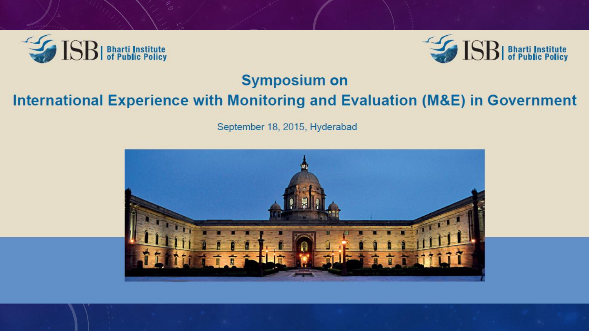



#### **Symposium on**

#### International Experience with Monitoring and Evaluation (M&E) in Government

September 18, 2015, Hyderabad

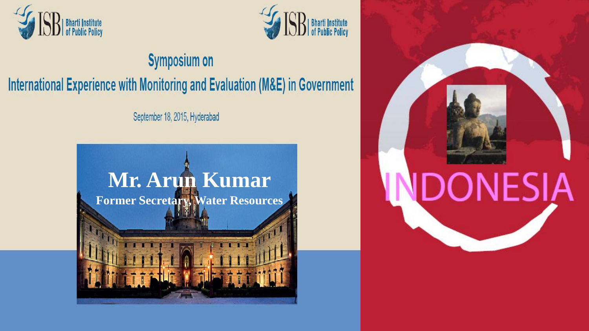



### **Symposium on** International Experience with Monitoring and Evaluation (M&E) in Government

September 18, 2015, Hyderabad



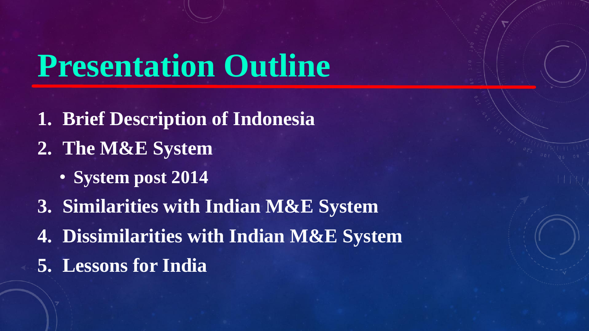## **Presentation Outline**

- **1. Brief Description of Indonesia**
- **2. The M&E System**
	- **System post 2014**
- **3. Similarities with Indian M&E System**
- **4. Dissimilarities with Indian M&E System**
- **5. Lessons for India**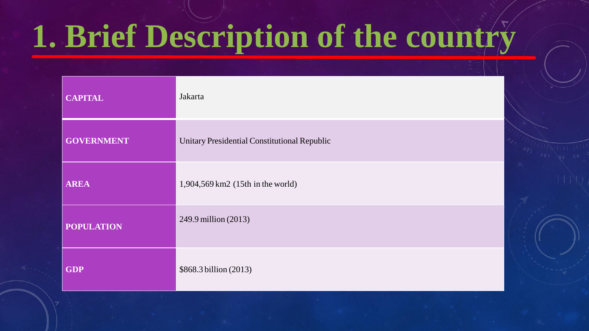# **1. Brief Description of the country**

| <b>CAPITAL</b>    | Jakarta                                      |
|-------------------|----------------------------------------------|
| <b>GOVERNMENT</b> | Unitary Presidential Constitutional Republic |
| <b>AREA</b>       | 1,904,569 km2 (15th in the world)            |
| <b>POPULATION</b> | 249.9 million (2013)                         |
| <b>GDP</b>        | \$868.3 billion (2013)                       |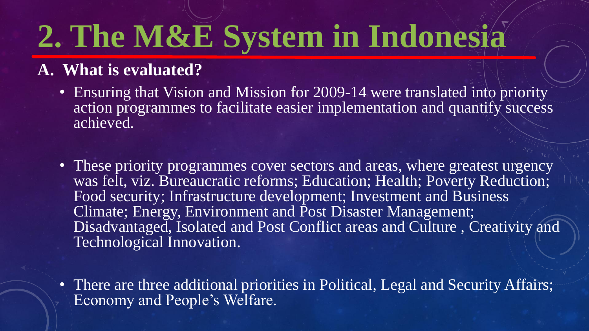#### **A. What is evaluated?**

- Ensuring that Vision and Mission for 2009-14 were translated into priority action programmes to facilitate easier implementation and quantify success achieved.
- These priority programmes cover sectors and areas, where greatest urgency was felt, viz. Bureaucratic reforms; Education; Health; Poverty Reduction; Food security; Infrastructure development; Investment and Business Climate; Energy, Environment and Post Disaster Management; Disadvantaged, Isolated and Post Conflict areas and Culture , Creativity and Technological Innovation.
- There are three additional priorities in Political, Legal and Security Affairs; Economy and People's Welfare.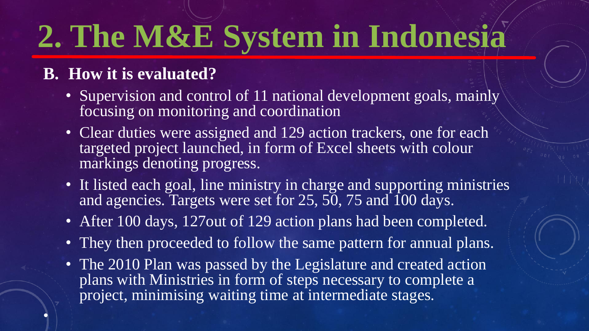#### **B. How it is evaluated?**

•

- Supervision and control of 11 national development goals, mainly focusing on monitoring and coordination
- Clear duties were assigned and 129 action trackers, one for each targeted project launched, in form of Excel sheets with colour markings denoting progress.
- It listed each goal, line ministry in charge and supporting ministries and agencies. Targets were set for 25, 50, 75 and 100 days.
- After 100 days, 127 out of 129 action plans had been completed.
- They then proceeded to follow the same pattern for annual plans.
- The 2010 Plan was passed by the Legislature and created action plans with Ministries in form of steps necessary to complete a project, minimising waiting time at intermediate stages.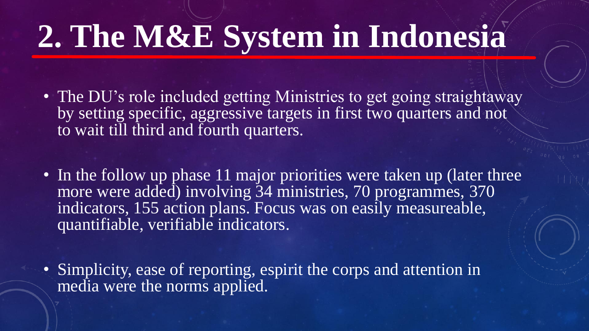- The DU's role included getting Ministries to get going straightaway by setting specific, aggressive targets in first two quarters and not to wait till third and fourth quarters.
- In the follow up phase 11 major priorities were taken up (later three more were added) involving 34 ministries, 70 programmes, 370 indicators, 155 action plans. Focus was on easily measureable, quantifiable, verifiable indicators.
- Simplicity, ease of reporting, espirit the corps and attention in media were the norms applied.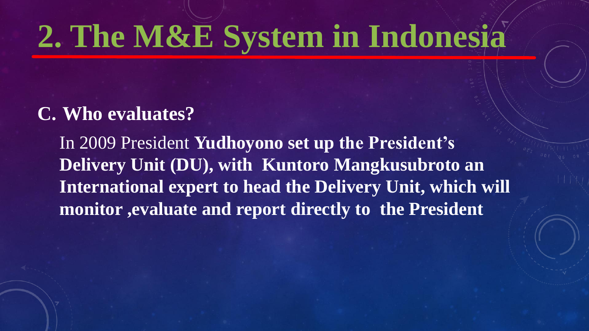#### **C. Who evaluates?**

In 2009 President **Yudhoyono set up the President's Delivery Unit (DU), with Kuntoro Mangkusubroto an International expert to head the Delivery Unit, which will monitor ,evaluate and report directly to the President**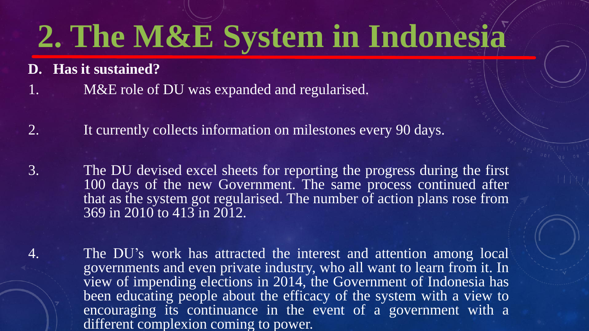**D. Has it sustained?**

- 1. M&E role of DU was expanded and regularised.
- 2. It currently collects information on milestones every 90 days.
- 3. The DU devised excel sheets for reporting the progress during the first 100 days of the new Government. The same process continued after that as the system got regularised. The number of action plans rose from 369 in 2010 to 413 in 2012.
- 4. The DU's work has attracted the interest and attention among local governments and even private industry, who all want to learn from it. In view of impending elections in 2014, the Government of Indonesia has been educating people about the efficacy of the system with a view to encouraging its continuance in the event of a government with a different complexion coming to power.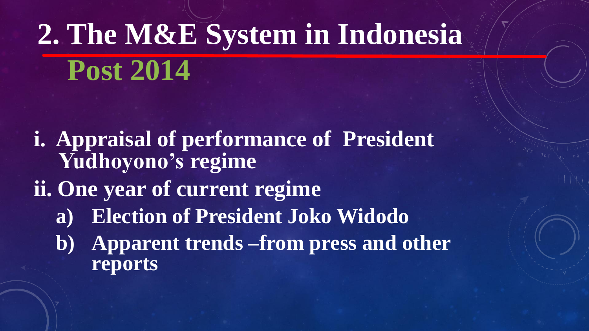- **i. Appraisal of performance of President Yudhoyono's regime**
- **ii. One year of current regime**
	- **a) Election of President Joko Widodo**
	- **b) Apparent trends –from press and other reports**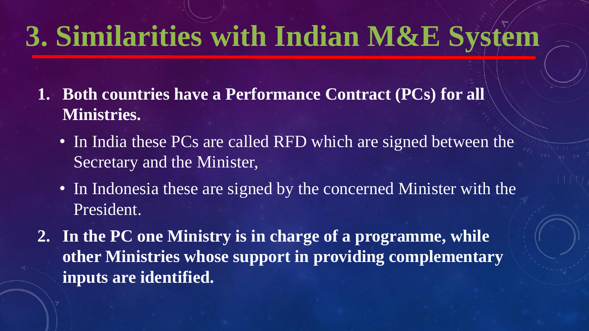- **1. Both countries have a Performance Contract (PCs) for all Ministries.** 
	- In India these PCs are called RFD which are signed between the Secretary and the Minister,
	- In Indonesia these are signed by the concerned Minister with the President.
- **2. In the PC one Ministry is in charge of a programme, while other Ministries whose support in providing complementary inputs are identified.**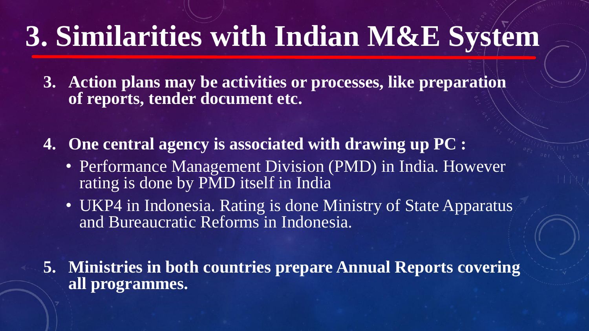**3. Action plans may be activities or processes, like preparation of reports, tender document etc.**

**4. One central agency is associated with drawing up PC :** 

- Performance Management Division (PMD) in India. However rating is done by PMD itself in India
- UKP4 in Indonesia. Rating is done Ministry of State Apparatus and Bureaucratic Reforms in Indonesia.

**5. Ministries in both countries prepare Annual Reports covering all programmes.**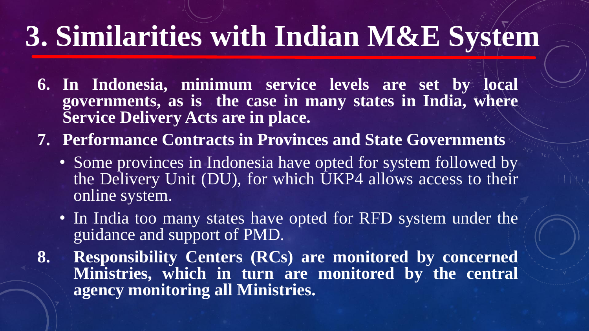- **6. In Indonesia, minimum service levels are set by local governments, as is the case in many states in India, where Service Delivery Acts are in place.**
- **7. Performance Contracts in Provinces and State Governments**
	- Some provinces in Indonesia have opted for system followed by the Delivery Unit (DU), for which UKP4 allows access to their online system.
	- In India too many states have opted for RFD system under the guidance and support of PMD.
- **8. Responsibility Centers (RCs) are monitored by concerned Ministries, which in turn are monitored by the central agency monitoring all Ministries.**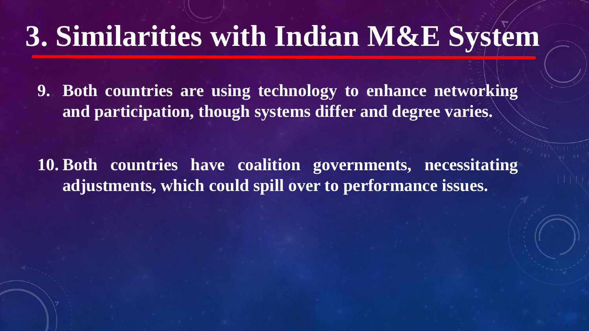**9. Both countries are using technology to enhance networking and participation, though systems differ and degree varies.**

**10. Both countries have coalition governments, necessitating adjustments, which could spill over to performance issues.**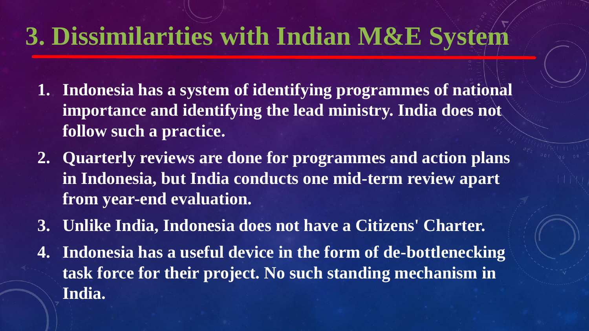- **1. Indonesia has a system of identifying programmes of national importance and identifying the lead ministry. India does not follow such a practice.**
- **2. Quarterly reviews are done for programmes and action plans in Indonesia, but India conducts one mid-term review apart from year-end evaluation.**
- **3. Unlike India, Indonesia does not have a Citizens' Charter.**
- **4. Indonesia has a useful device in the form of de-bottlenecking task force for their project. No such standing mechanism in India.**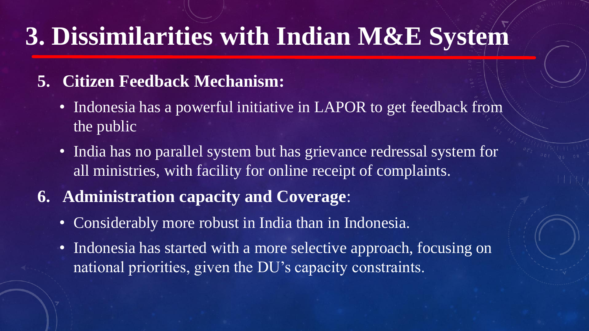#### **5. Citizen Feedback Mechanism:**

- Indonesia has a powerful initiative in LAPOR to get feedback from the public
- India has no parallel system but has grievance redressal system for all ministries, with facility for online receipt of complaints.
- **6. Administration capacity and Coverage**:
	- Considerably more robust in India than in Indonesia.
	- Indonesia has started with a more selective approach, focusing on national priorities, given the DU's capacity constraints.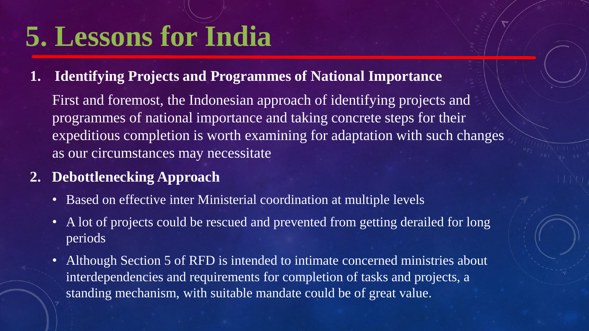### **5. Lessons for India**

**1. Identifying Projects and Programmes of National Importance**

First and foremost, the Indonesian approach of identifying projects and programmes of national importance and taking concrete steps for their expeditious completion is worth examining for adaptation with such changes as our circumstances may necessitate

- **2. Debottlenecking Approach**
	- Based on effective inter Ministerial coordination at multiple levels
	- A lot of projects could be rescued and prevented from getting derailed for long periods
	- Although Section 5 of RFD is intended to intimate concerned ministries about interdependencies and requirements for completion of tasks and projects, a standing mechanism, with suitable mandate could be of great value.